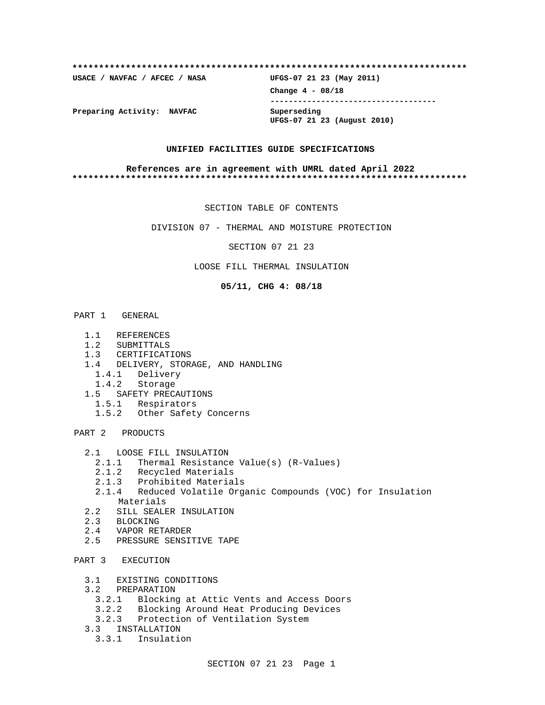| USACE / NAVFAC / AFCEC / NASA | UFGS-07 21 23 (May 2011)                   |
|-------------------------------|--------------------------------------------|
|                               | Change $4 - 08/18$                         |
| Preparing Activity: NAVFAC    | Superseding<br>UFGS-07 21 23 (August 2010) |

#### **UNIFIED FACILITIES GUIDE SPECIFICATIONS**

#### **References are in agreement with UMRL dated April 2022 \*\*\*\*\*\*\*\*\*\*\*\*\*\*\*\*\*\*\*\*\*\*\*\*\*\*\*\*\*\*\*\*\*\*\*\*\*\*\*\*\*\*\*\*\*\*\*\*\*\*\*\*\*\*\*\*\*\*\*\*\*\*\*\*\*\*\*\*\*\*\*\*\*\***

SECTION TABLE OF CONTENTS

DIVISION 07 - THERMAL AND MOISTURE PROTECTION

SECTION 07 21 23

LOOSE FILL THERMAL INSULATION

**05/11, CHG 4: 08/18**

PART 1 GENERAL

- 1.1 REFERENCES
- 1.2 SUBMITTALS
- 1.3 CERTIFICATIONS
- 1.4 DELIVERY, STORAGE, AND HANDLING<br>1.4.1 Delivery
- Delivery
- 1.4.2 Storage
- 1.5 SAFETY PRECAUTIONS
- 1.5.1 Respirators
	- 1.5.2 Other Safety Concerns

PART 2 PRODUCTS

- 2.1 LOOSE FILL INSULATION
	- 2.1.1 Thermal Resistance Value(s) (R-Values)
	- 2.1.2 Recycled Materials
	- 2.1.3 Prohibited Materials
	- 2.1.4 Reduced Volatile Organic Compounds (VOC) for Insulation Materials
- 2.2 SILL SEALER INSULATION
- 2.3 BLOCKING
- 2.4 VAPOR RETARDER
- 2.5 PRESSURE SENSITIVE TAPE

# PART 3 EXECUTION

- 3.1 EXISTING CONDITIONS
- 3.2 PREPARATION
	- 3.2.1 Blocking at Attic Vents and Access Doors
	- 3.2.2 Blocking Around Heat Producing Devices
	- 3.2.3 Protection of Ventilation System
- 3.3 INSTALLATION
	- 3.3.1 Insulation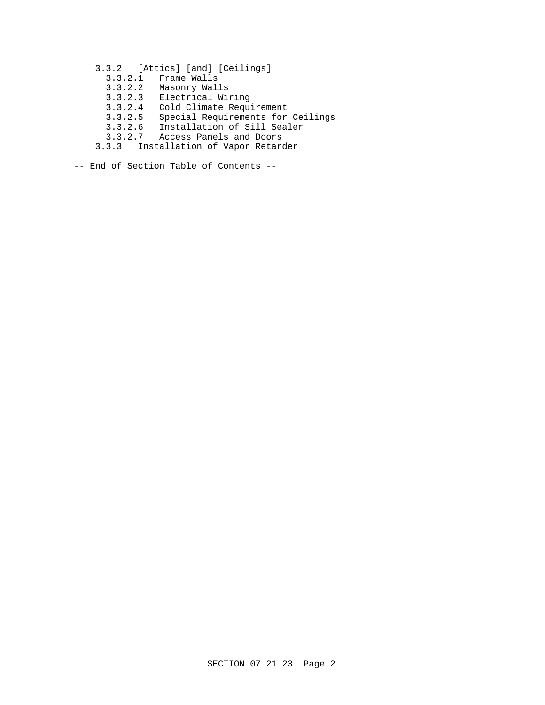- 3.3.2 [Attics] [and] [Ceilings]
	- 3.3.2.1 Frame Walls
	- 3.3.2.2 Masonry Walls
	- 3.3.2.3 Electrical Wiring
	- 3.3.2.4 Cold Climate Requirement
- 3.3.2.5 Special Requirements for Ceilings
- 3.3.2.6 Installation of Sill Sealer
- 3.3.2.7 Access Panels and Doors
	- 3.3.3 Installation of Vapor Retarder

-- End of Section Table of Contents --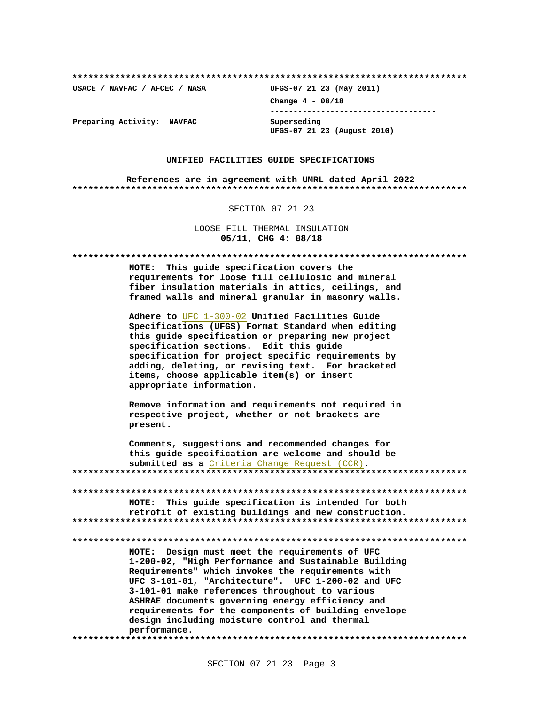**\*\*\*\*\*\*\*\*\*\*\*\*\*\*\*\*\*\*\*\*\*\*\*\*\*\*\*\*\*\*\*\*\*\*\*\*\*\*\*\*\*\*\*\*\*\*\*\*\*\*\*\*\*\*\*\*\*\*\*\*\*\*\*\*\*\*\*\*\*\*\*\*\*\***

**USACE / NAVFAC / AFCEC / NASA UFGS-07 21 23 (May 2011)**

**Change 4 - 08/18 ------------------------------------ UFGS-07 21 23 (August 2010)**

**Preparing Activity: NAVFAC Superseding**

#### **UNIFIED FACILITIES GUIDE SPECIFICATIONS**

**References are in agreement with UMRL dated April 2022 \*\*\*\*\*\*\*\*\*\*\*\*\*\*\*\*\*\*\*\*\*\*\*\*\*\*\*\*\*\*\*\*\*\*\*\*\*\*\*\*\*\*\*\*\*\*\*\*\*\*\*\*\*\*\*\*\*\*\*\*\*\*\*\*\*\*\*\*\*\*\*\*\*\***

SECTION 07 21 23

LOOSE FILL THERMAL INSULATION **05/11, CHG 4: 08/18**

**\*\*\*\*\*\*\*\*\*\*\*\*\*\*\*\*\*\*\*\*\*\*\*\*\*\*\*\*\*\*\*\*\*\*\*\*\*\*\*\*\*\*\*\*\*\*\*\*\*\*\*\*\*\*\*\*\*\*\*\*\*\*\*\*\*\*\*\*\*\*\*\*\*\* NOTE: This guide specification covers the requirements for loose fill cellulosic and mineral fiber insulation materials in attics, ceilings, and framed walls and mineral granular in masonry walls. Adhere to** UFC 1-300-02 **Unified Facilities Guide Specifications (UFGS) Format Standard when editing this guide specification or preparing new project specification sections. Edit this guide specification for project specific requirements by adding, deleting, or revising text. For bracketed items, choose applicable item(s) or insert appropriate information. Remove information and requirements not required in respective project, whether or not brackets are present. Comments, suggestions and recommended changes for this guide specification are welcome and should be submitted as a** Criteria Change Request (CCR)**. \*\*\*\*\*\*\*\*\*\*\*\*\*\*\*\*\*\*\*\*\*\*\*\*\*\*\*\*\*\*\*\*\*\*\*\*\*\*\*\*\*\*\*\*\*\*\*\*\*\*\*\*\*\*\*\*\*\*\*\*\*\*\*\*\*\*\*\*\*\*\*\*\*\* \*\*\*\*\*\*\*\*\*\*\*\*\*\*\*\*\*\*\*\*\*\*\*\*\*\*\*\*\*\*\*\*\*\*\*\*\*\*\*\*\*\*\*\*\*\*\*\*\*\*\*\*\*\*\*\*\*\*\*\*\*\*\*\*\*\*\*\*\*\*\*\*\*\* NOTE: This guide specification is intended for both retrofit of existing buildings and new construction. \*\*\*\*\*\*\*\*\*\*\*\*\*\*\*\*\*\*\*\*\*\*\*\*\*\*\*\*\*\*\*\*\*\*\*\*\*\*\*\*\*\*\*\*\*\*\*\*\*\*\*\*\*\*\*\*\*\*\*\*\*\*\*\*\*\*\*\*\*\*\*\*\*\* \*\*\*\*\*\*\*\*\*\*\*\*\*\*\*\*\*\*\*\*\*\*\*\*\*\*\*\*\*\*\*\*\*\*\*\*\*\*\*\*\*\*\*\*\*\*\*\*\*\*\*\*\*\*\*\*\*\*\*\*\*\*\*\*\*\*\*\*\*\*\*\*\*\* NOTE: Design must meet the requirements of UFC 1-200-02, "High Performance and Sustainable Building Requirements" which invokes the requirements with UFC 3-101-01, "Architecture". UFC 1-200-02 and UFC 3-101-01 make references throughout to various ASHRAE documents governing energy efficiency and requirements for the components of building envelope design including moisture control and thermal performance. \*\*\*\*\*\*\*\*\*\*\*\*\*\*\*\*\*\*\*\*\*\*\*\*\*\*\*\*\*\*\*\*\*\*\*\*\*\*\*\*\*\*\*\*\*\*\*\*\*\*\*\*\*\*\*\*\*\*\*\*\*\*\*\*\*\*\*\*\*\*\*\*\*\***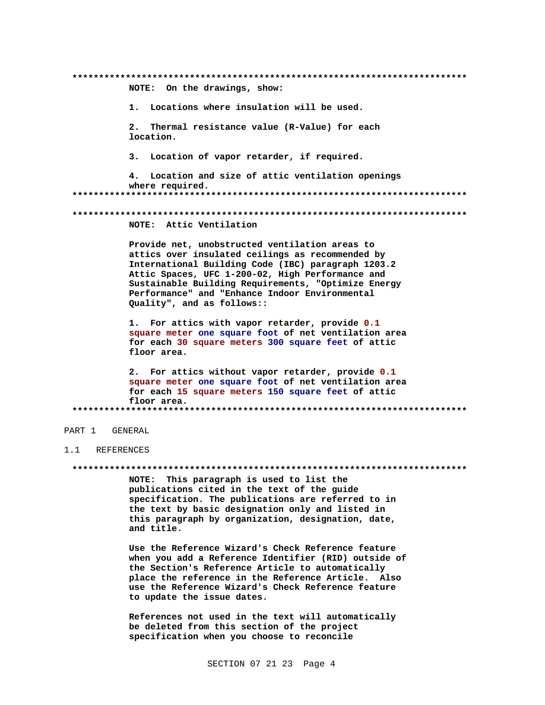NOTE: On the drawings, show: 1. Locations where insulation will be used. Thermal resistance value (R-Value) for each  $2.$ location.  $3.$ Location of vapor retarder, if required. 4. Location and size of attic ventilation openings where required. NOTE: Attic Ventilation Provide net, unobstructed ventilation areas to attics over insulated ceilings as recommended by International Building Code (IBC) paragraph 1203.2 Attic Spaces, UFC 1-200-02, High Performance and Sustainable Building Requirements, "Optimize Energy Performance" and "Enhance Indoor Environmental Quality", and as follows:: 1. For attics with vapor retarder, provide 0.1 square meter one square foot of net ventilation area for each 30 square meters 300 square feet of attic floor area. 2. For attics without vapor retarder, provide 0.1 square meter one square foot of net ventilation area for each 15 square meters 150 square feet of attic floor area. 

### PART 1 GENERAL

#### $1.1$ **REFERENCES**

#### 

NOTE: This paragraph is used to list the publications cited in the text of the guide specification. The publications are referred to in the text by basic designation only and listed in this paragraph by organization, designation, date, and title.

Use the Reference Wizard's Check Reference feature when you add a Reference Identifier (RID) outside of the Section's Reference Article to automatically place the reference in the Reference Article. Also use the Reference Wizard's Check Reference feature to update the issue dates.

References not used in the text will automatically be deleted from this section of the project specification when you choose to reconcile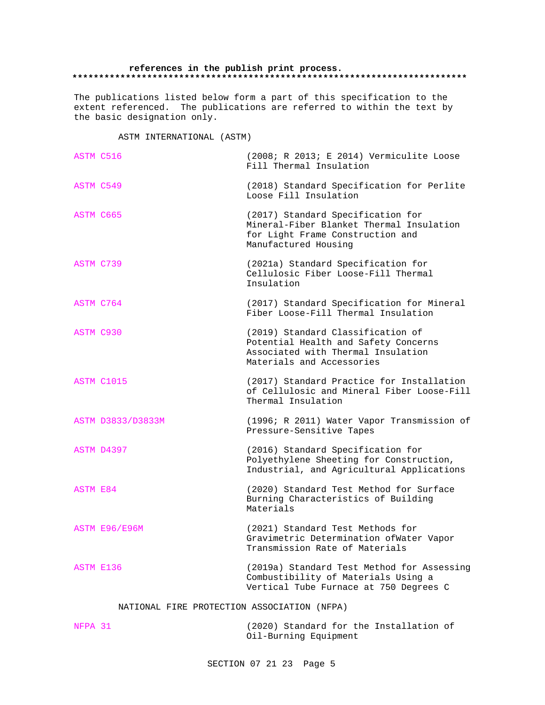#### **references in the publish print process. \*\*\*\*\*\*\*\*\*\*\*\*\*\*\*\*\*\*\*\*\*\*\*\*\*\*\*\*\*\*\*\*\*\*\*\*\*\*\*\*\*\*\*\*\*\*\*\*\*\*\*\*\*\*\*\*\*\*\*\*\*\*\*\*\*\*\*\*\*\*\*\*\*\***

The publications listed below form a part of this specification to the extent referenced. The publications are referred to within the text by the basic designation only.

ASTM INTERNATIONAL (ASTM)

| ASTM C516        |                      | (2008; R 2013; E 2014) Vermiculite Loose<br>Fill Thermal Insulation                                                                          |
|------------------|----------------------|----------------------------------------------------------------------------------------------------------------------------------------------|
| ASTM C549        |                      | (2018) Standard Specification for Perlite<br>Loose Fill Insulation                                                                           |
| ASTM C665        |                      | (2017) Standard Specification for<br>Mineral-Fiber Blanket Thermal Insulation<br>for Light Frame Construction and<br>Manufactured Housing    |
| ASTM C739        |                      | (2021a) Standard Specification for<br>Cellulosic Fiber Loose-Fill Thermal<br>Insulation                                                      |
| ASTM C764        |                      | (2017) Standard Specification for Mineral<br>Fiber Loose-Fill Thermal Insulation                                                             |
| ASTM C930        |                      | (2019) Standard Classification of<br>Potential Health and Safety Concerns<br>Associated with Thermal Insulation<br>Materials and Accessories |
| ASTM C1015       |                      | (2017) Standard Practice for Installation<br>of Cellulosic and Mineral Fiber Loose-Fill<br>Thermal Insulation                                |
|                  | ASTM D3833/D3833M    | (1996; R 2011) Water Vapor Transmission of<br>Pressure-Sensitive Tapes                                                                       |
| ASTM D4397       |                      | (2016) Standard Specification for<br>Polyethylene Sheeting for Construction,<br>Industrial, and Agricultural Applications                    |
| ASTM E84         |                      | (2020) Standard Test Method for Surface<br>Burning Characteristics of Building<br>Materials                                                  |
|                  | <b>ASTM E96/E96M</b> | (2021) Standard Test Methods for<br>Gravimetric Determination ofWater Vapor<br>Transmission Rate of Materials                                |
| <b>ASTM E136</b> |                      | (2019a) Standard Test Method for Assessing<br>Combustibility of Materials Using a<br>Vertical Tube Furnace at 750 Degrees C                  |

NATIONAL FIRE PROTECTION ASSOCIATION (NFPA)

| NFPA 31 |                       |  | (2020) Standard for the Installation of |  |
|---------|-----------------------|--|-----------------------------------------|--|
|         | Oil-Burning Equipment |  |                                         |  |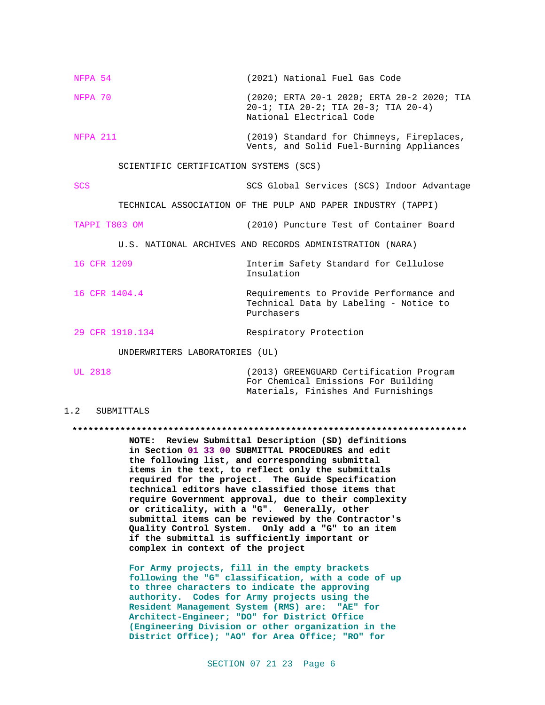| NFPA 54                                                  | (2021) National Fuel Gas Code                                                                                 |  |  |  |
|----------------------------------------------------------|---------------------------------------------------------------------------------------------------------------|--|--|--|
| NFPA 70                                                  | (2020; ERTA 20-1 2020; ERTA 20-2 2020; TIA<br>20-1; TIA 20-2; TIA 20-3; TIA 20-4)<br>National Electrical Code |  |  |  |
| NFPA 211                                                 | (2019) Standard for Chimneys, Fireplaces,<br>Vents, and Solid Fuel-Burning Appliances                         |  |  |  |
| SCIENTIFIC CERTIFICATION SYSTEMS (SCS)                   |                                                                                                               |  |  |  |
| <b>SCS</b>                                               | SCS Global Services (SCS) Indoor Advantage                                                                    |  |  |  |
|                                                          | TECHNICAL ASSOCIATION OF THE PULP AND PAPER INDUSTRY (TAPPI)                                                  |  |  |  |
| TAPPI T803 OM                                            | (2010) Puncture Test of Container Board                                                                       |  |  |  |
| U.S. NATIONAL ARCHIVES AND RECORDS ADMINISTRATION (NARA) |                                                                                                               |  |  |  |
| 16 CFR 1209                                              | Interim Safety Standard for Cellulose<br>Insulation                                                           |  |  |  |
| 16 CFR 1404.4                                            | Requirements to Provide Performance and<br>Technical Data by Labeling - Notice to<br>Purchasers               |  |  |  |
| 29 CFR 1910.134                                          | Respiratory Protection                                                                                        |  |  |  |
| UNDERWRITERS LABORATORIES (UL)                           |                                                                                                               |  |  |  |
| $--- 2222$                                               | .<br>$\sqrt{2}$                                                                                               |  |  |  |

UL 2818 (2013) GREENGUARD Certification Program For Chemical Emissions For Building Materials, Finishes And Furnishings

#### 1.2 SUBMITTALS

**\*\*\*\*\*\*\*\*\*\*\*\*\*\*\*\*\*\*\*\*\*\*\*\*\*\*\*\*\*\*\*\*\*\*\*\*\*\*\*\*\*\*\*\*\*\*\*\*\*\*\*\*\*\*\*\*\*\*\*\*\*\*\*\*\*\*\*\*\*\*\*\*\*\***

**NOTE: Review Submittal Description (SD) definitions in Section 01 33 00 SUBMITTAL PROCEDURES and edit the following list, and corresponding submittal items in the text, to reflect only the submittals required for the project. The Guide Specification technical editors have classified those items that require Government approval, due to their complexity or criticality, with a "G". Generally, other submittal items can be reviewed by the Contractor's Quality Control System. Only add a "G" to an item if the submittal is sufficiently important or complex in context of the project**

**For Army projects, fill in the empty brackets following the "G" classification, with a code of up to three characters to indicate the approving authority. Codes for Army projects using the Resident Management System (RMS) are: "AE" for Architect-Engineer; "DO" for District Office (Engineering Division or other organization in the District Office); "AO" for Area Office; "RO" for**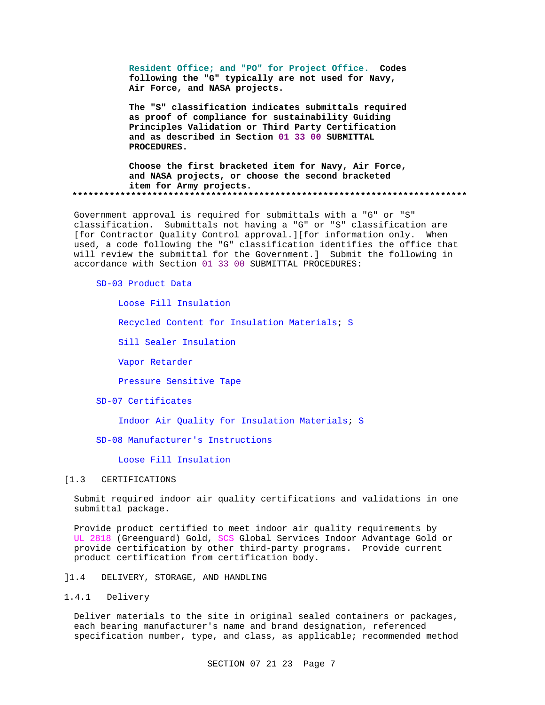**Resident Office; and "PO" for Project Office. Codes following the "G" typically are not used for Navy, Air Force, and NASA projects.**

**The "S" classification indicates submittals required as proof of compliance for sustainability Guiding Principles Validation or Third Party Certification and as described in Section 01 33 00 SUBMITTAL PROCEDURES.**

**Choose the first bracketed item for Navy, Air Force, and NASA projects, or choose the second bracketed item for Army projects. \*\*\*\*\*\*\*\*\*\*\*\*\*\*\*\*\*\*\*\*\*\*\*\*\*\*\*\*\*\*\*\*\*\*\*\*\*\*\*\*\*\*\*\*\*\*\*\*\*\*\*\*\*\*\*\*\*\*\*\*\*\*\*\*\*\*\*\*\*\*\*\*\*\***

Government approval is required for submittals with a "G" or "S" classification. Submittals not having a "G" or "S" classification are [for Contractor Quality Control approval.][for information only. When used, a code following the "G" classification identifies the office that will review the submittal for the Government.] Submit the following in accordance with Section 01 33 00 SUBMITTAL PROCEDURES:

#### SD-03 Product Data

Loose Fill Insulation

Recycled Content for Insulation Materials; S

Sill Sealer Insulation

Vapor Retarder

Pressure Sensitive Tape

#### SD-07 Certificates

Indoor Air Quality for Insulation Materials; S

SD-08 Manufacturer's Instructions

### Loose Fill Insulation

#### [1.3 CERTIFICATIONS

Submit required indoor air quality certifications and validations in one submittal package.

Provide product certified to meet indoor air quality requirements by UL 2818 (Greenguard) Gold, SCS Global Services Indoor Advantage Gold or provide certification by other third-party programs. Provide current product certification from certification body.

]1.4 DELIVERY, STORAGE, AND HANDLING

### 1.4.1 Delivery

Deliver materials to the site in original sealed containers or packages, each bearing manufacturer's name and brand designation, referenced specification number, type, and class, as applicable; recommended method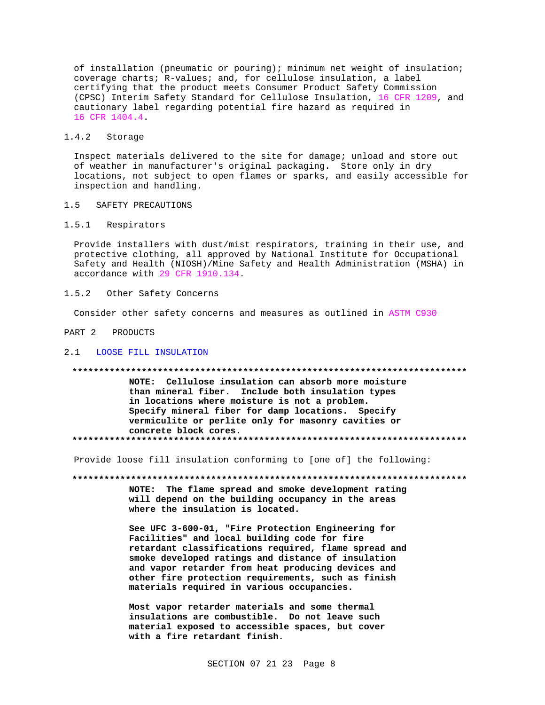of installation (pneumatic or pouring); minimum net weight of insulation; coverage charts; R-values; and, for cellulose insulation, a label certifying that the product meets Consumer Product Safety Commission (CPSC) Interim Safety Standard for Cellulose Insulation, 16 CFR 1209, and cautionary label regarding potential fire hazard as required in 16 CFR 1404.4.

#### $1.4.2$ Storage

Inspect materials delivered to the site for damage; unload and store out of weather in manufacturer's original packaging. Store only in dry locations, not subject to open flames or sparks, and easily accessible for inspection and handling.

#### SAFETY PRECAUTIONS  $1.5$

#### $1.5.1$ Respirators

Provide installers with dust/mist respirators, training in their use, and protective clothing, all approved by National Institute for Occupational Safety and Health (NIOSH)/Mine Safety and Health Administration (MSHA) in accordance with 29 CFR 1910.134.

#### Other Safety Concerns  $1.5.2$

Consider other safety concerns and measures as outlined in ASTM C930

### PART 2 PRODUCTS

### 2.1 LOOSE FILL INSULATION

### 

NOTE: Cellulose insulation can absorb more moisture than mineral fiber. Include both insulation types in locations where moisture is not a problem. Specify mineral fiber for damp locations. Specify vermiculite or perlite only for masonry cavities or concrete block cores. 

Provide loose fill insulation conforming to [one of] the following:

NOTE: The flame spread and smoke development rating will depend on the building occupancy in the areas where the insulation is located.

See UFC 3-600-01, "Fire Protection Engineering for Facilities" and local building code for fire retardant classifications required, flame spread and smoke developed ratings and distance of insulation and vapor retarder from heat producing devices and other fire protection requirements, such as finish materials required in various occupancies.

Most vapor retarder materials and some thermal insulations are combustible. Do not leave such material exposed to accessible spaces, but cover with a fire retardant finish.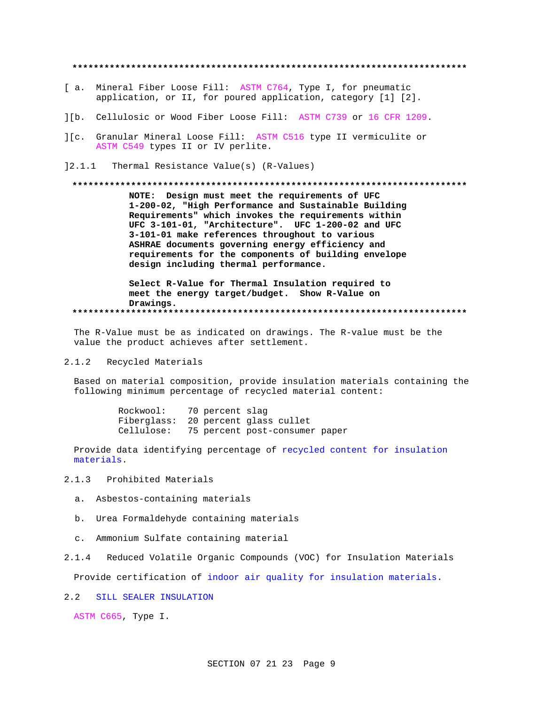\*\*\*\*\*\*\*\*\*\*\*\*\*\*\*\*\*\*\*\*\*\*\*\*\*

- [ a. Mineral Fiber Loose Fill: ASTM C764, Type I, for pneumatic application, or II, for poured application, category [1] [2].
- ][b. Cellulosic or Wood Fiber Loose Fill: ASTM C739 or 16 CFR 1209.
- ][c. Granular Mineral Loose Fill: ASTM C516 type II vermiculite or ASTM C549 types II or IV perlite.
- 12.1.1 Thermal Resistance Value(s) (R-Values)

#### 

NOTE: Design must meet the requirements of UFC 1-200-02, "High Performance and Sustainable Building Requirements" which invokes the requirements within UFC 3-101-01, "Architecture". UFC 1-200-02 and UFC 3-101-01 make references throughout to various ASHRAE documents governing energy efficiency and requirements for the components of building envelope design including thermal performance.

Select R-Value for Thermal Insulation required to meet the energy target/budget. Show R-Value on Drawings. 

The R-Value must be as indicated on drawings. The R-value must be the value the product achieves after settlement.

#### $2.1.2$ Recycled Materials

Based on material composition, provide insulation materials containing the following minimum percentage of recycled material content:

> Rockwool: 70 percent slag Fiberglass: 20 percent glass cullet Cellulose: 75 percent post-consumer paper

Provide data identifying percentage of recycled content for insulation materials.

 $2.1.3$ Prohibited Materials

- a. Asbestos-containing materials
- b. Urea Formaldehyde containing materials
- c. Ammonium Sulfate containing material
- Reduced Volatile Organic Compounds (VOC) for Insulation Materials  $2.1.4$

Provide certification of indoor air quality for insulation materials.

2.2 SILL SEALER INSULATION

ASTM C665, Type I.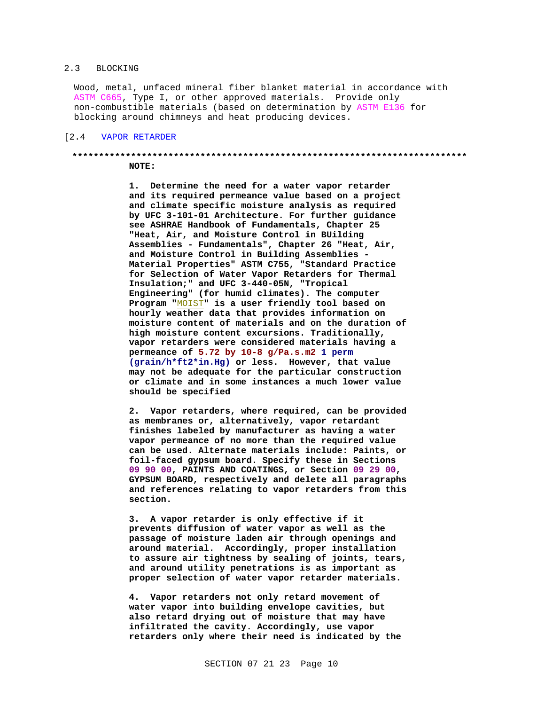#### 2.3 BLOCKING

Wood, metal, unfaced mineral fiber blanket material in accordance with ASTM C665, Type I, or other approved materials. Provide only non-combustible materials (based on determination by ASTM E136 for blocking around chimneys and heat producing devices.

#### [2.4 VAPOR RETARDER

# **\*\*\*\*\*\*\*\*\*\*\*\*\*\*\*\*\*\*\*\*\*\*\*\*\*\*\*\*\*\*\*\*\*\*\*\*\*\*\*\*\*\*\*\*\*\*\*\*\*\*\*\*\*\*\*\*\*\*\*\*\*\*\*\*\*\*\*\*\*\*\*\*\*\***

**NOTE:**

**1. Determine the need for a water vapor retarder and its required permeance value based on a project and climate specific moisture analysis as required by UFC 3-101-01 Architecture. For further guidance see ASHRAE Handbook of Fundamentals, Chapter 25 "Heat, Air, and Moisture Control in BUilding Assemblies - Fundamentals", Chapter 26 "Heat, Air, and Moisture Control in Building Assemblies - Material Properties" ASTM C755, "Standard Practice for Selection of Water Vapor Retarders for Thermal Insulation;" and UFC 3-440-05N, "Tropical Engineering" (for humid climates). The computer Program "**MOIST**" is a user friendly tool based on hourly weather data that provides information on moisture content of materials and on the duration of high moisture content excursions. Traditionally, vapor retarders were considered materials having a permeance of 5.72 by 10-8 g/Pa.s.m2 1 perm (grain/h\*ft2\*in.Hg) or less. However, that value may not be adequate for the particular construction or climate and in some instances a much lower value should be specified**

**2. Vapor retarders, where required, can be provided as membranes or, alternatively, vapor retardant finishes labeled by manufacturer as having a water vapor permeance of no more than the required value can be used. Alternate materials include: Paints, or foil-faced gypsum board. Specify these in Sections 09 90 00, PAINTS AND COATINGS, or Section 09 29 00, GYPSUM BOARD, respectively and delete all paragraphs and references relating to vapor retarders from this section.**

**3. A vapor retarder is only effective if it prevents diffusion of water vapor as well as the passage of moisture laden air through openings and around material. Accordingly, proper installation to assure air tightness by sealing of joints, tears, and around utility penetrations is as important as proper selection of water vapor retarder materials.**

**4. Vapor retarders not only retard movement of water vapor into building envelope cavities, but also retard drying out of moisture that may have infiltrated the cavity. Accordingly, use vapor retarders only where their need is indicated by the**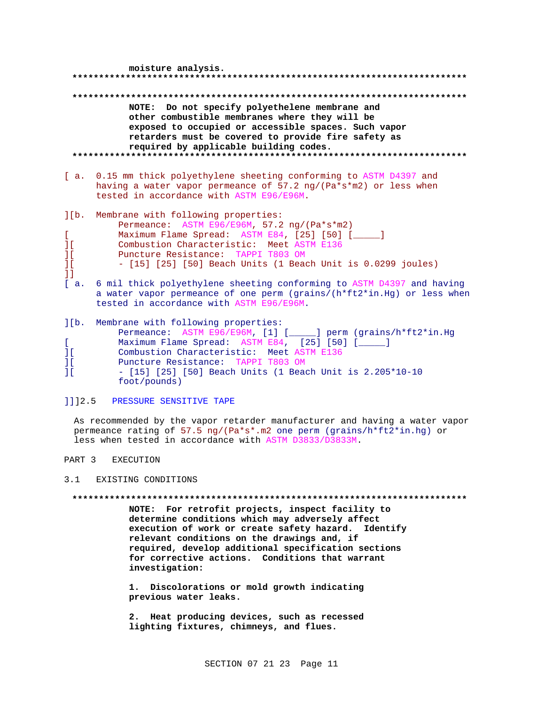| moisture analysis.                                                                                                                                                                                                                                                                                                                                                                                                                                                                                                                                                              |  |
|---------------------------------------------------------------------------------------------------------------------------------------------------------------------------------------------------------------------------------------------------------------------------------------------------------------------------------------------------------------------------------------------------------------------------------------------------------------------------------------------------------------------------------------------------------------------------------|--|
|                                                                                                                                                                                                                                                                                                                                                                                                                                                                                                                                                                                 |  |
|                                                                                                                                                                                                                                                                                                                                                                                                                                                                                                                                                                                 |  |
| NOTE: Do not specify polyethelene membrane and<br>other combustible membranes where they will be<br>exposed to occupied or accessible spaces. Such vapor<br>retarders must be covered to provide fire safety as<br>required by applicable building codes.                                                                                                                                                                                                                                                                                                                       |  |
| 0.15 mm thick polyethylene sheeting conforming to ASTM D4397 and<br>[ a.<br>having a water vapor permeance of 57.2 $\frac{ng}{(Pa*s*m2)}$ or less when<br>tested in accordance with ASTM E96/E96M.                                                                                                                                                                                                                                                                                                                                                                              |  |
| $l$ [b.<br>Membrane with following properties:<br>Permeance: ASTM E96/E96M, 57.2 ng/(Pa*s*m2)<br>L<br>Maximum Flame Spread: ASTM E84, [25] [50] [____]<br>Combustion Characteristic: Meet ASTM E136<br>$\overline{\phantom{a}1}$ [<br>Puncture Resistance: TAPPI T803 OM<br>ΠL<br>1 <sup>1</sup><br>- [15] [25] [50] Beach Units (1 Beach Unit is 0.0299 joules)<br>11<br>[a,<br>6 mil thick polyethylene sheeting conforming to ASTM D4397 and having<br>a water vapor permeance of one perm (qrains/ $(h*ft2*in.Hq)$ or less when<br>tested in accordance with ASTM E96/E96M. |  |
| $l$ [b.<br>Membrane with following properties:<br>Permeance: ASTM E96/E96M, [1] [_____] perm (grains/h*ft2*in.Hg<br>Maximum Flame Spread: ASTM E84, [25] [50] [<br>L<br>Combustion Characteristic: Meet ASTM E136<br>$\overline{11}$<br>ΠL<br>Puncture Resistance: TAPPI T803 OM<br>$\overline{11}$<br>$-$ [15] [25] [50] Beach Units (1 Beach Unit is 2.205*10-10<br>foot/pounds)                                                                                                                                                                                              |  |
| 1112.5<br>PRESSURE SENSITIVE TAPE                                                                                                                                                                                                                                                                                                                                                                                                                                                                                                                                               |  |

As recommended by the vapor retarder manufacturer and having a water vapor permeance rating of 57.5 ng/(Pa\*s\*.m2 one perm (grains/h\*ft2\*in.hg) or less when tested in accordance with ASTM D3833/D3833M.

PART 3 EXECUTION

3.1 EXISTING CONDITIONS

**\*\*\*\*\*\*\*\*\*\*\*\*\*\*\*\*\*\*\*\*\*\*\*\*\*\*\*\*\*\*\*\*\*\*\*\*\*\*\*\*\*\*\*\*\*\*\*\*\*\*\*\*\*\*\*\*\*\*\*\*\*\*\*\*\*\*\*\*\*\*\*\*\*\***

**NOTE: For retrofit projects, inspect facility to determine conditions which may adversely affect execution of work or create safety hazard. Identify relevant conditions on the drawings and, if required, develop additional specification sections for corrective actions. Conditions that warrant investigation:**

**1. Discolorations or mold growth indicating previous water leaks.**

**2. Heat producing devices, such as recessed lighting fixtures, chimneys, and flues.**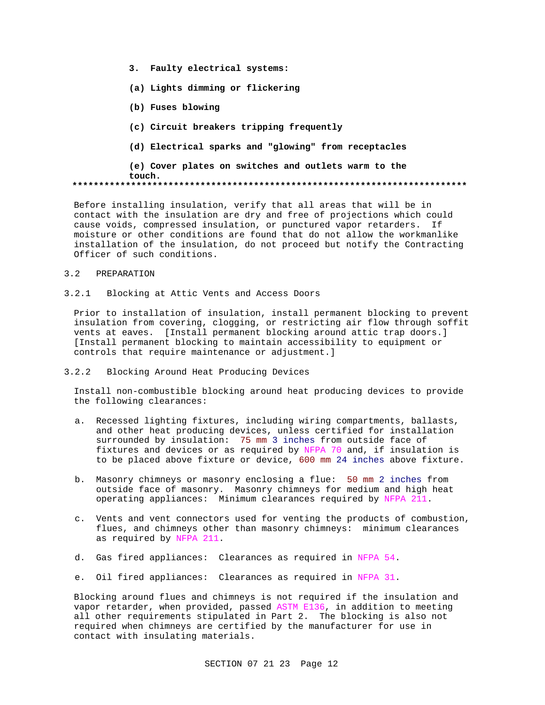- **3. Faulty electrical systems:**
- **(a) Lights dimming or flickering**
- **(b) Fuses blowing**
- **(c) Circuit breakers tripping frequently**
- **(d) Electrical sparks and "glowing" from receptacles**

**(e) Cover plates on switches and outlets warm to the touch. \*\*\*\*\*\*\*\*\*\*\*\*\*\*\*\*\*\*\*\*\*\*\*\*\*\*\*\*\*\*\*\*\*\*\*\*\*\*\*\*\*\*\*\*\*\*\*\*\*\*\*\*\*\*\*\*\*\*\*\*\*\*\*\*\*\*\*\*\*\*\*\*\*\***

Before installing insulation, verify that all areas that will be in contact with the insulation are dry and free of projections which could cause voids, compressed insulation, or punctured vapor retarders. If moisture or other conditions are found that do not allow the workmanlike installation of the insulation, do not proceed but notify the Contracting Officer of such conditions.

### 3.2 PREPARATION

3.2.1 Blocking at Attic Vents and Access Doors

Prior to installation of insulation, install permanent blocking to prevent insulation from covering, clogging, or restricting air flow through soffit vents at eaves. [Install permanent blocking around attic trap doors.] [Install permanent blocking to maintain accessibility to equipment or controls that require maintenance or adjustment.]

3.2.2 Blocking Around Heat Producing Devices

Install non-combustible blocking around heat producing devices to provide the following clearances:

- a. Recessed lighting fixtures, including wiring compartments, ballasts, and other heat producing devices, unless certified for installation surrounded by insulation: 75 mm 3 inches from outside face of fixtures and devices or as required by NFPA 70 and, if insulation is to be placed above fixture or device, 600 mm 24 inches above fixture.
- b. Masonry chimneys or masonry enclosing a flue: 50 mm 2 inches from outside face of masonry. Masonry chimneys for medium and high heat operating appliances: Minimum clearances required by NFPA 211.
- c. Vents and vent connectors used for venting the products of combustion, flues, and chimneys other than masonry chimneys: minimum clearances as required by NFPA 211.
- d. Gas fired appliances: Clearances as required in NFPA 54.
- e. Oil fired appliances: Clearances as required in NFPA 31.

Blocking around flues and chimneys is not required if the insulation and vapor retarder, when provided, passed ASTM E136, in addition to meeting all other requirements stipulated in Part 2. The blocking is also not required when chimneys are certified by the manufacturer for use in contact with insulating materials.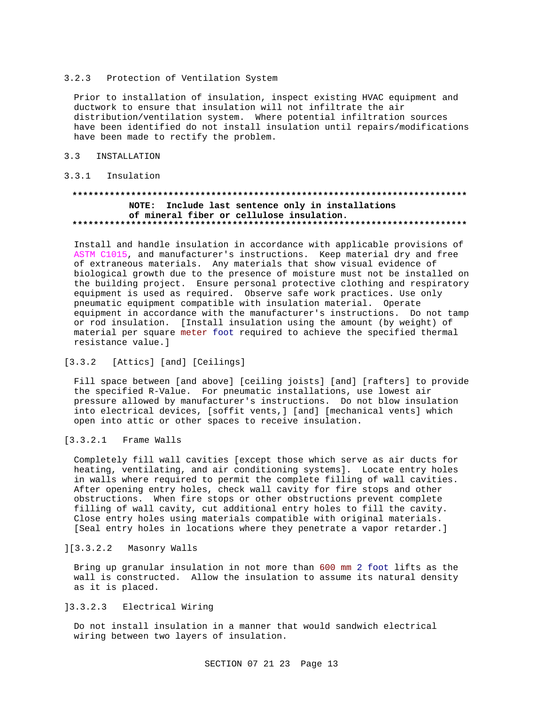#### 3.2.3 Protection of Ventilation System

Prior to installation of insulation, inspect existing HVAC equipment and ductwork to ensure that insulation will not infiltrate the air distribution/ventilation system. Where potential infiltration sources have been identified do not install insulation until repairs/modifications have been made to rectify the problem.

#### $3.3$ INSTALLATION

### 3.3.1 Insulation

# NOTE: Include last sentence only in installations of mineral fiber or cellulose insulation.

Install and handle insulation in accordance with applicable provisions of ASTM C1015, and manufacturer's instructions. Keep material dry and free of extraneous materials. Any materials that show visual evidence of biological growth due to the presence of moisture must not be installed on the building project. Ensure personal protective clothing and respiratory equipment is used as required. Observe safe work practices. Use only pneumatic equipment compatible with insulation material. Operate equipment in accordance with the manufacturer's instructions. Do not tamp or rod insulation. [Install insulation using the amount (by weight) of material per square meter foot required to achieve the specified thermal resistance value.]

### [3.3.2 [Attics] [and] [Ceilings]

Fill space between [and above] [ceiling joists] [and] [rafters] to provide the specified R-Value. For pneumatic installations, use lowest air pressure allowed by manufacturer's instructions. Do not blow insulation into electrical devices, [soffit vents,] [and] [mechanical vents] which open into attic or other spaces to receive insulation.

#### $[3.3.2.1]$ Frame Walls

Completely fill wall cavities [except those which serve as air ducts for heating, ventilating, and air conditioning systems]. Locate entry holes in walls where required to permit the complete filling of wall cavities. After opening entry holes, check wall cavity for fire stops and other obstructions. When fire stops or other obstructions prevent complete filling of wall cavity, cut additional entry holes to fill the cavity. Close entry holes using materials compatible with original materials. [Seal entry holes in locations where they penetrate a vapor retarder.]

### ][3.3.2.2 Masonry Walls

Bring up granular insulation in not more than 600 mm 2 foot lifts as the wall is constructed. Allow the insulation to assume its natural density as it is placed.

#### $13.3.2.3$ Electrical Wiring

Do not install insulation in a manner that would sandwich electrical wiring between two layers of insulation.